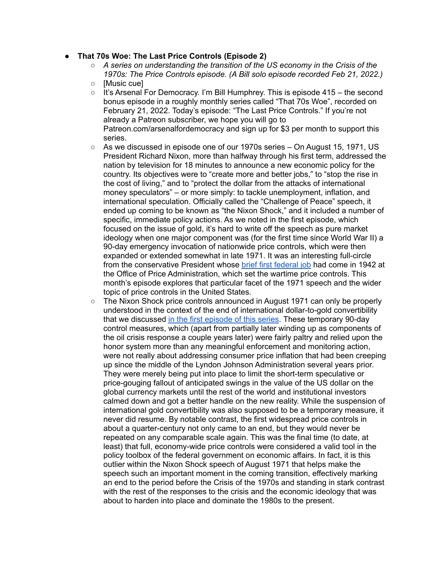## **● That 70s Woe: The Last Price Controls (Episode 2)**

- *○ A series on understanding the transition of the US economy in the Crisis of the 1970s: The Price Controls episode. (A Bill solo episode recorded Feb 21, 2022.)*
- [Music cue]
- $\circ$  It's Arsenal For Democracy. I'm Bill Humphrey. This is episode 415 the second bonus episode in a roughly monthly series called "That 70s Woe", recorded on February 21, 2022. Today's episode: "The Last Price Controls." If you're not already a Patreon subscriber, we hope you will go to Patreon.com/arsenalfordemocracy and sign up for \$3 per month to support this series.
- As we discussed in episode one of our 1970s series On August 15, 1971, US President Richard Nixon, more than halfway through his first term, addressed the nation by television for 18 minutes to announce a new economic policy for the country. Its objectives were to "create more and better jobs," to "stop the rise in the cost of living," and to "protect the dollar from the attacks of international money speculators" – or more simply: to tackle unemployment, inflation, and international speculation. Officially called the "Challenge of Peace" speech, it ended up coming to be known as "the Nixon Shock," and it included a number of specific, immediate policy actions. As we noted in the first episode, which focused on the issue of gold, it's hard to write off the speech as pure market ideology when one major component was (for the first time since World War II) a 90-day emergency invocation of nationwide price controls, which were then expanded or extended somewhat in late 1971. It was an interesting full-circle from the conservative President whose brief first [federal](https://web.archive.org/web/20131021194531/http://www.nixonlibrary.gov/thelife/astudentandsailor.php) job had come in 1942 at the Office of Price Administration, which set the wartime price controls. This month's episode explores that particular facet of the 1971 speech and the wider topic of price controls in the United States.
- The Nixon Shock price controls announced in August 1971 can only be properly understood in the context of the end of international dollar-to-gold convertibility that we discussed in the first [episode](http://arsenalfordemocracy.com/2022/01/12/bonus-that-70s-woe-nixons-gold-arsenal-for-democracy-ep-407/) of this series. These temporary 90-day control measures, which (apart from partially later winding up as components of the oil crisis response a couple years later) were fairly paltry and relied upon the honor system more than any meaningful enforcement and monitoring action, were not really about addressing consumer price inflation that had been creeping up since the middle of the Lyndon Johnson Administration several years prior. They were merely being put into place to limit the short-term speculative or price-gouging fallout of anticipated swings in the value of the US dollar on the global currency markets until the rest of the world and institutional investors calmed down and got a better handle on the new reality. While the suspension of international gold convertibility was also supposed to be a temporary measure, it never did resume. By notable contrast, the first widespread price controls in about a quarter-century not only came to an end, but they would never be repeated on any comparable scale again. This was the final time (to date, at least) that full, economy-wide price controls were considered a valid tool in the policy toolbox of the federal government on economic affairs. In fact, it is this outlier within the Nixon Shock speech of August 1971 that helps make the speech such an important moment in the coming transition, effectively marking an end to the period before the Crisis of the 1970s and standing in stark contrast with the rest of the responses to the crisis and the economic ideology that was about to harden into place and dominate the 1980s to the present.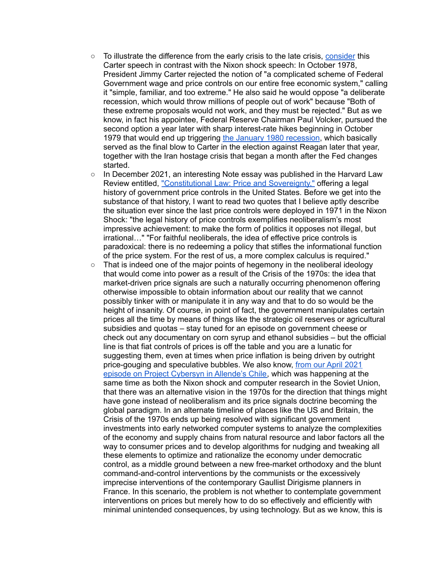- $\circ$  To illustrate the difference from the early crisis to the late crisis, [consider](https://harvardlawreview.org/2021/12/price-and-sovereignty/) this Carter speech in contrast with the Nixon shock speech: In October 1978, President Jimmy Carter rejected the notion of "a complicated scheme of Federal Government wage and price controls on our entire free economic system," calling it "simple, familiar, and too extreme." He also said he would oppose "a deliberate recession, which would throw millions of people out of work" because "Both of these extreme proposals would not work, and they must be rejected." But as we know, in fact his appointee, Federal Reserve Chairman Paul Volcker, pursued the second option a year later with sharp interest-rate hikes beginning in October 1979 that would end up triggering the January 1980 [recession](https://en.wikipedia.org/wiki/Early_1980s_recession_in_the_United_States), which basically served as the final blow to Carter in the election against Reagan later that year, together with the Iran hostage crisis that began a month after the Fed changes started.
- $\circ$  In December 2021, an interesting Note essay was published in the Harvard Law Review entitled, ["Constitutional](https://harvardlawreview.org/2021/12/price-and-sovereignty/) Law: Price and Sovereignty," offering a legal history of government price controls in the United States. Before we get into the substance of that history, I want to read two quotes that I believe aptly describe the situation ever since the last price controls were deployed in 1971 in the Nixon Shock: "the legal history of price controls exemplifies neoliberalism's most impressive achievement: to make the form of politics it opposes not illegal, but irrational…" "For faithful neoliberals, the idea of effective price controls is paradoxical: there is no redeeming a policy that stifles the informational function of the price system. For the rest of us, a more complex calculus is required."
- That is indeed one of the major points of hegemony in the neoliberal ideology that would come into power as a result of the Crisis of the 1970s: the idea that market-driven price signals are such a naturally occurring phenomenon offering otherwise impossible to obtain information about our reality that we cannot possibly tinker with or manipulate it in any way and that to do so would be the height of insanity. Of course, in point of fact, the government manipulates certain prices all the time by means of things like the strategic oil reserves or agricultural subsidies and quotas – stay tuned for an episode on government cheese or check out any documentary on corn syrup and ethanol subsidies – but the official line is that fiat controls of prices is off the table and you are a lunatic for suggesting them, even at times when price inflation is being driven by outright price-gouging and speculative bubbles. We also know, from our April [2021](http://arsenalfordemocracy.com/2021/04/05/apr-4-2021-project-cybersyn-in-allendes-chile-arsenal-for-democracy-ep-362/) episode on Project [Cybersyn](http://arsenalfordemocracy.com/2021/04/05/apr-4-2021-project-cybersyn-in-allendes-chile-arsenal-for-democracy-ep-362/) in Allende's Chile, which was happening at the same time as both the Nixon shock and computer research in the Soviet Union, that there was an alternative vision in the 1970s for the direction that things might have gone instead of neoliberalism and its price signals doctrine becoming the global paradigm. In an alternate timeline of places like the US and Britain, the Crisis of the 1970s ends up being resolved with significant government investments into early networked computer systems to analyze the complexities of the economy and supply chains from natural resource and labor factors all the way to consumer prices and to develop algorithms for nudging and tweaking all these elements to optimize and rationalize the economy under democratic control, as a middle ground between a new free-market orthodoxy and the blunt command-and-control interventions by the communists or the excessively imprecise interventions of the contemporary Gaullist Dirigisme planners in France. In this scenario, the problem is not whether to contemplate government interventions on prices but merely how to do so effectively and efficiently with minimal unintended consequences, by using technology. But as we know, this is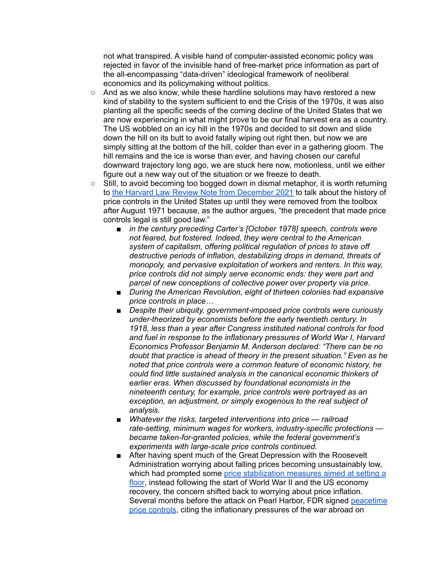not what transpired. A visible hand of computer-assisted economic policy was rejected in favor of the invisible hand of free-market price information as part of the all-encompassing "data-driven" ideological framework of neoliberal economics and its policymaking without politics.

- $\circ$  And as we also know, while these hardline solutions may have restored a new kind of stability to the system sufficient to end the Crisis of the 1970s, it was also planting all the specific seeds of the coming decline of the United States that we are now experiencing in what might prove to be our final harvest era as a country. The US wobbled on an icy hill in the 1970s and decided to sit down and slide down the hill on its butt to avoid fatally wiping out right then, but now we are simply sitting at the bottom of the hill, colder than ever in a gathering gloom. The hill remains and the ice is worse than ever, and having chosen our careful downward trajectory long ago, we are stuck here now, motionless, until we either figure out a new way out of the situation or we freeze to death.
- $\circ$  Still, to avoid becoming too bogged down in dismal metaphor, it is worth returning to the Harvard Law Review Note from [December](https://harvardlawreview.org/2021/12/price-and-sovereignty/) 2021 to talk about the history of price controls in the United States up until they were removed from the toolbox after August 1971 because, as the author argues, "the precedent that made price controls legal is still good law."
	- *■ in the century preceding Carter's [October 1978] speech, controls were not feared, but fostered. Indeed, they were central to the American system of capitalism, offering political regulation of prices to stave off destructive periods of inflation, destabilizing drops in demand, threats of monopoly, and pervasive exploitation of workers and renters. In this way, price controls did not simply serve economic ends: they were part and parcel of new conceptions of collective power over property via price.*
	- *■ During the American Revolution, eight of thirteen colonies had expansive price controls in place…*
	- *■ Despite their ubiquity, government-imposed price controls were curiously under-theorized by economists before the early twentieth century. In 1918, less than a year after Congress instituted national controls for food and fuel in response to the inflationary pressures of World War I, Harvard Economics Professor Benjamin M. Anderson declared: "There can be no doubt that practice is ahead of theory in the present situation." Even as he noted that price controls were a common feature of economic history, he could find little sustained analysis in the canonical economic thinkers of earlier eras. When discussed by foundational economists in the nineteenth century, for example, price controls were portrayed as an exception, an adjustment, or simply exogenous to the real subject of analysis.*
	- *■ Whatever the risks, targeted interventions into price — railroad rate-setting, minimum wages for workers, industry-specific protections became taken-for-granted policies, while the federal government's experiments with large-scale price controls continued.*
	- After having spent much of the Great Depression with the Roosevelt Administration worrying about falling prices becoming unsustainably low, which had prompted some price [stabilization](https://en.wikipedia.org/wiki/Agricultural_Adjustment_Act) measures aimed at setting a [floor](https://en.wikipedia.org/wiki/Agricultural_Adjustment_Act), instead following the start of World War II and the US economy recovery, the concern shifted back to worrying about price inflation. Several months before the attack on Pearl Harbor, FDR signed [peacetime](http://www.ibiblio.org/pha/policy/1941/1941-07-30b.html) price [controls](http://www.ibiblio.org/pha/policy/1941/1941-07-30b.html), citing the inflationary pressures of the war abroad on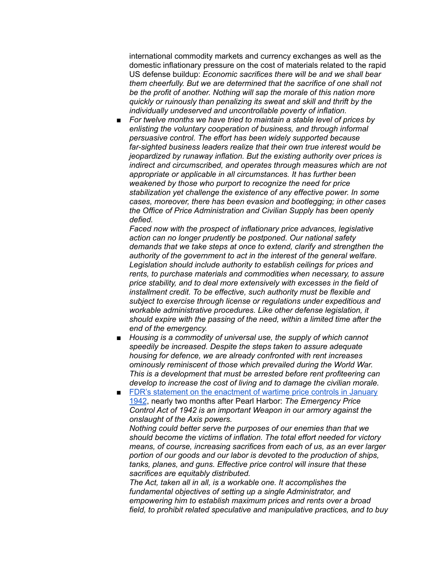international commodity markets and currency exchanges as well as the domestic inflationary pressure on the cost of materials related to the rapid US defense buildup: *Economic sacrifices there will be and we shall bear them cheerfully. But we are determined that the sacrifice of one shall not be the profit of another. Nothing will sap the morale of this nation more quickly or ruinously than penalizing its sweat and skill and thrift by the individually undeserved and uncontrollable poverty of inflation.*

■ *For twelve months* we have *tried* to *maintain* a stable level of prices by *enlisting the voluntary cooperation of business, and through informal persuasive control. The effort has been widely supported because far-sighted business leaders realize that their own true interest would be jeopardized by runaway inflation. But the existing authority over prices is indirect and circumscribed, and operates through measures which are not appropriate or applicable in all circumstances. It has further been weakened by those who purport to recognize the need for price stabilization yet challenge the existence of any effective power. In some cases, moreover, there has been evasion and bootlegging; in other cases the Office of Price Administration and Civilian Supply has been openly defied.*

*Faced now with the prospect of inflationary price advances, legislative action can no longer prudently be postponed. Our national safety demands that we take steps at once to extend, clarify and strengthen the authority of the government to act in the interest of the general welfare. Legislation should include authority to establish ceilings for prices and rents, to purchase materials and commodities when necessary, to assure price stability, and to deal more extensively with excesses in the field of installment credit. To be effective, such authority must be flexible and subject to exercise through license or regulations under expeditious and workable administrative procedures. Like other defense legislation, it should expire with the passing of the need, within a limited time after the end of the emergency.*

- *Housing is* a *commodity of universal use, the supply of which cannot speedily be increased. Despite the steps taken to assure adequate housing for defence, we are already confronted with rent increases ominously reminiscent of those which prevailed during the World War. This is a development that must be arrested before rent profiteering can develop to increase the cost of living and to damage the civilian morale.*
- FDR's statement on the [enactment](https://www.presidency.ucsb.edu/documents/statement-signing-the-emergency-price-control-act) of wartime price controls in January [1942](https://www.presidency.ucsb.edu/documents/statement-signing-the-emergency-price-control-act), nearly two months after Pearl Harbor: *The Emergency Price Control Act of 1942 is an important Weapon in our armory against the onslaught of the Axis powers.*

*Nothing could better serve the purposes of our enemies than that we should become the victims of inflation. The total effort needed for victory means, of course, increasing sacrifices from each of us, as an ever larger portion of our goods and our labor is devoted to the production of ships, tanks, planes, and guns. Effective price control will insure that these sacrifices are equitably distributed.*

*The Act, taken all in all, is a workable one. It accomplishes the fundamental objectives of setting up a single Administrator, and empowering him to establish maximum prices and rents over a broad field, to prohibit related speculative and manipulative practices, and to buy*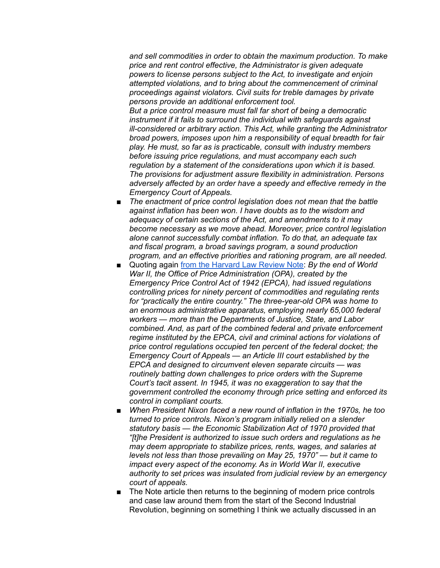*and sell commodities in order to obtain the maximum production. To make price and rent control effective, the Administrator is given adequate powers to license persons subject to the Act, to investigate and enjoin attempted violations, and to bring about the commencement of criminal proceedings against violators. Civil suits for treble damages by private persons provide an additional enforcement tool.*

*But a price control measure must fall far short of being a democratic instrument if it fails to surround the individual with safeguards against ill-considered or arbitrary action. This Act, while granting the Administrator broad powers, imposes upon him a responsibility of equal breadth for fair play. He must, so far as is practicable, consult with industry members before issuing price regulations, and must accompany each such regulation by a statement of the considerations upon which it is based. The provisions for adjustment assure flexibility in administration. Persons adversely affected by an order have a speedy and effective remedy in the Emergency Court of Appeals.*

- *■ The enactment of price control legislation does not mean that the battle against inflation has been won. I have doubts as to the wisdom and adequacy of certain sections of the Act, and amendments to it may become necessary as we move ahead. Moreover, price control legislation alone cannot successfully combat inflation. To do that, an adequate tax and fiscal program, a broad savings program, a sound production program, and an effective priorities and rationing program, are all needed.*
- Quoting again from the [Harvard](https://harvardlawreview.org/2021/12/price-and-sovereignty/) Law Review Note: By the end of World *War II, the Office of Price Administration (OPA), created by the Emergency Price Control Act of 1942 (EPCA), had issued regulations controlling prices for ninety percent of commodities and regulating rents for "practically the entire country." The three-year-old OPA was home to an enormous administrative apparatus, employing nearly 65,000 federal workers — more than the Departments of Justice, State, and Labor combined. And, as part of the combined federal and private enforcement regime instituted by the EPCA, civil and criminal actions for violations of price control regulations occupied ten percent of the federal docket; the Emergency Court of Appeals — an Article III court established by the EPCA and designed to circumvent eleven separate circuits — was routinely batting down challenges to price orders with the Supreme Court's tacit assent. In 1945, it was no exaggeration to say that the government controlled the economy through price setting and enforced its control in compliant courts.*
- *■ When President Nixon faced a new round of inflation in the 1970s, he too turned to price controls. Nixon's program initially relied on a slender statutory basis — the Economic Stabilization Act of 1970 provided that "[t]he President is authorized to issue such orders and regulations as he may deem appropriate to stabilize prices, rents, wages, and salaries at levels not less than those prevailing on May 25, 1970" — but it came to impact every aspect of the economy. As in World War II, executive authority to set prices was insulated from judicial review by an emergency court of appeals.*
- The Note article then returns to the beginning of modern price controls and case law around them from the start of the Second Industrial Revolution, beginning on something I think we actually discussed in an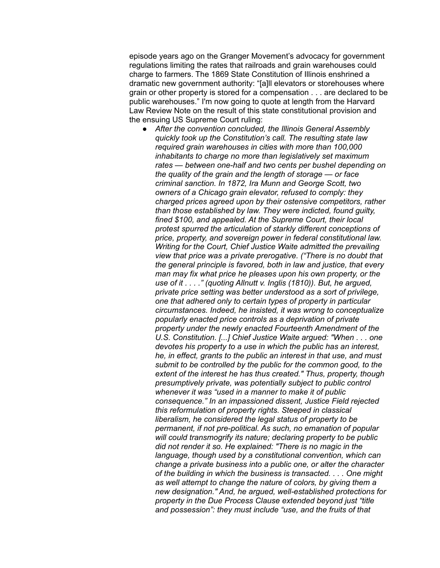episode years ago on the Granger Movement's advocacy for government regulations limiting the rates that railroads and grain warehouses could charge to farmers. The 1869 State Constitution of Illinois enshrined a dramatic new government authority: "[a]ll elevators or storehouses where grain or other property is stored for a compensation . . . are declared to be public warehouses." I'm now going to quote at length from the Harvard Law Review Note on the result of this state constitutional provision and the ensuing US Supreme Court ruling:

*● After the convention concluded, the Illinois General Assembly quickly took up the Constitution's call. The resulting state law required grain warehouses in cities with more than 100,000 inhabitants to charge no more than legislatively set maximum rates — between one-half and two cents per bushel depending on the quality of the grain and the length of storage — or face criminal sanction. In 1872, Ira Munn and George Scott, two owners of a Chicago grain elevator, refused to comply: they charged prices agreed upon by their ostensive competitors, rather than those established by law. They were indicted, found guilty, fined \$100, and appealed. At the Supreme Court, their local protest spurred the articulation of starkly different conceptions of price, property, and sovereign power in federal constitutional law. Writing for the Court, Chief Justice Waite admitted the prevailing view that price was a private prerogative. ("There is no doubt that the general principle is favored, both in law and justice, that every man may fix what price he pleases upon his own property, or the use of it . . . ." (quoting Allnutt v. Inglis (1810)). But, he argued, private price setting was better understood as a sort of privilege, one that adhered only to certain types of property in particular circumstances. Indeed, he insisted, it was wrong to conceptualize popularly enacted price controls as a deprivation of private property under the newly enacted Fourteenth Amendment of the U.S. Constitution. [...] Chief Justice Waite argued: "When . . . one devotes his property to a use in which the public has an interest, he, in effect, grants to the public an interest in that use, and must submit to be controlled by the public for the common good, to the extent of the interest he has thus created." Thus, property, though presumptively private, was potentially subject to public control whenever it was "used in a manner to make it of public consequence." In an impassioned dissent, Justice Field rejected this reformulation of property rights. Steeped in classical liberalism, he considered the legal status of property to be permanent, if not pre-political. As such, no emanation of popular will could transmogrify its nature; declaring property to be public did not render it so. He explained: "There is no magic in the language, though used by a constitutional convention, which can change a private business into a public one, or alter the character of the building in which the business is transacted. . . . One might as well attempt to change the nature of colors, by giving them a new designation." And, he argued, well-established protections for property in the Due Process Clause extended beyond just "title and possession": they must include "use, and the fruits of that*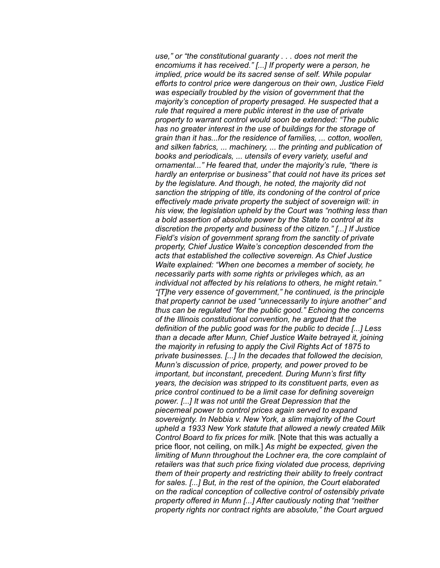*use," or "the constitutional guaranty . . . does not merit the encomiums it has received." [...] If property were a person, he implied, price would be its sacred sense of self. While popular efforts to control price were dangerous on their own, Justice Field was especially troubled by the vision of government that the majority's conception of property presaged. He suspected that a rule that required a mere public interest in the use of private property to warrant control would soon be extended: "The public has no greater interest in the use of buildings for the storage of grain than it has...for the residence of families, ... cotton, woollen, and silken fabrics, ... machinery, ... the printing and publication of books and periodicals, ... utensils of every variety, useful and ornamental..." He feared that, under the majority's rule, "there is hardly an enterprise or business" that could not have its prices set by the legislature. And though, he noted, the majority did not sanction the stripping of title, its condoning of the control of price effectively made private property the subject of sovereign will: in his view, the legislation upheld by the Court was "nothing less than a bold assertion of absolute power by the State to control at its discretion the property and business of the citizen." [...] If Justice Field's vision of government sprang from the sanctity of private property, Chief Justice Waite's conception descended from the acts that established the collective sovereign. As Chief Justice Waite explained: "When one becomes a member of society, he necessarily parts with some rights or privileges which, as an individual not affected by his relations to others, he might retain." "[T]he very essence of government," he continued, is the principle that property cannot be used "unnecessarily to injure another" and thus can be regulated "for the public good." Echoing the concerns of the Illinois constitutional convention, he argued that the definition of the public good was for the public to decide [...] Less than a decade after Munn, Chief Justice Waite betrayed it, joining the majority in refusing to apply the Civil Rights Act of 1875 to private businesses. [...] In the decades that followed the decision, Munn's discussion of price, property, and power proved to be important, but inconstant, precedent. During Munn's first fifty years, the decision was stripped to its constituent parts, even as price control continued to be a limit case for defining sovereign power. [...] It was not until the Great Depression that the piecemeal power to control prices again served to expand sovereignty. In Nebbia v. New York, a slim majority of the Court upheld a 1933 New York statute that allowed a newly created Milk Control Board to fix prices for milk.* [Note that this was actually a price floor, not ceiling, on milk.] *As might be expected, given the limiting of Munn throughout the Lochner era, the core complaint of retailers was that such price fixing violated due process, depriving them of their property and restricting their ability to freely contract for sales. [...] But, in the rest of the opinion, the Court elaborated on the radical conception of collective control of ostensibly private property offered in Munn [...] After cautiously noting that "neither property rights nor contract rights are absolute," the Court argued*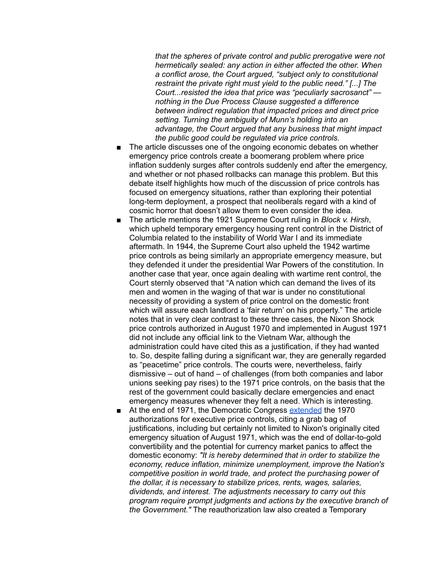*that the spheres of private control and public prerogative were not hermetically sealed: any action in either affected the other. When a conflict arose, the Court argued, "subject only to constitutional restraint the private right must yield to the public need." [...] The Court...resisted the idea that price was "peculiarly sacrosanct" nothing in the Due Process Clause suggested a difference between indirect regulation that impacted prices and direct price setting. Turning the ambiguity of Munn's holding into an advantage, the Court argued that any business that might impact the public good could be regulated via price controls.*

- The article discusses one of the ongoing economic debates on whether emergency price controls create a boomerang problem where price inflation suddenly surges after controls suddenly end after the emergency, and whether or not phased rollbacks can manage this problem. But this debate itself highlights how much of the discussion of price controls has focused on emergency situations, rather than exploring their potential long-term deployment, a prospect that neoliberals regard with a kind of cosmic horror that doesn't allow them to even consider the idea.
- The article mentions the 1921 Supreme Court ruling in *Block v. Hirsh*, which upheld temporary emergency housing rent control in the District of Columbia related to the instability of World War I and its immediate aftermath. In 1944, the Supreme Court also upheld the 1942 wartime price controls as being similarly an appropriate emergency measure, but they defended it under the presidential War Powers of the constitution. In another case that year, once again dealing with wartime rent control, the Court sternly observed that "A nation which can demand the lives of its men and women in the waging of that war is under no constitutional necessity of providing a system of price control on the domestic front which will assure each landlord a 'fair return' on his property." The article notes that in very clear contrast to these three cases, the Nixon Shock price controls authorized in August 1970 and implemented in August 1971 did not include any official link to the Vietnam War, although the administration could have cited this as a justification, if they had wanted to. So, despite falling during a significant war, they are generally regarded as "peacetime" price controls. The courts were, nevertheless, fairly dismissive – out of hand – of challenges (from both companies and labor unions seeking pay rises) to the 1971 price controls, on the basis that the rest of the government could basically declare emergencies and enact emergency measures whenever they felt a need. Which is interesting.
- At the end of 1971, the Democratic Congress [extended](https://www.govtrack.us/congress/bills/92/s2891/text) the 1970 authorizations for executive price controls, citing a grab bag of justifications, including but certainly not limited to Nixon's originally cited emergency situation of August 1971, which was the end of dollar-to-gold convertibility and the potential for currency market panics to affect the domestic economy: *"It is hereby determined that in order to stabilize the economy, reduce inflation, minimize unemployment, improve the Nation's competitive position in world trade, and protect the purchasing power of the dollar, it is necessary to stabilize prices, rents, wages, salaries, dividends, and interest. The adjustments necessary to carry out this program require prompt judgments and actions by the executive branch of the Government."* The reauthorization law also created a Temporary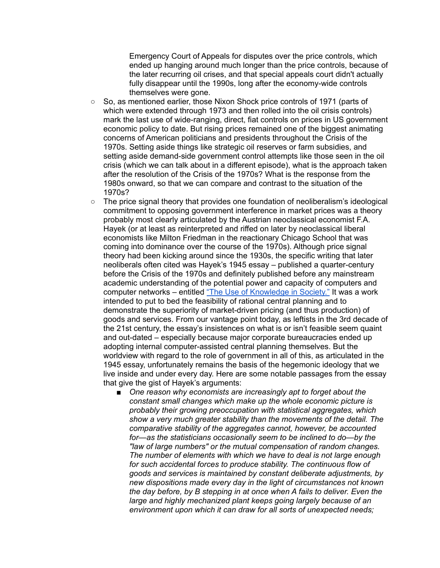Emergency Court of Appeals for disputes over the price controls, which ended up hanging around much longer than the price controls, because of the later recurring oil crises, and that special appeals court didn't actually fully disappear until the 1990s, long after the economy-wide controls themselves were gone.

- So, as mentioned earlier, those Nixon Shock price controls of 1971 (parts of which were extended through 1973 and then rolled into the oil crisis controls) mark the last use of wide-ranging, direct, fiat controls on prices in US government economic policy to date. But rising prices remained one of the biggest animating concerns of American politicians and presidents throughout the Crisis of the 1970s. Setting aside things like strategic oil reserves or farm subsidies, and setting aside demand-side government control attempts like those seen in the oil crisis (which we can talk about in a different episode), what is the approach taken after the resolution of the Crisis of the 1970s? What is the response from the 1980s onward, so that we can compare and contrast to the situation of the 1970s?
- The price signal theory that provides one foundation of neoliberalism's ideological commitment to opposing government interference in market prices was a theory probably most clearly articulated by the Austrian neoclassical economist F.A. Hayek (or at least as reinterpreted and riffed on later by neoclassical liberal economists like Milton Friedman in the reactionary Chicago School that was coming into dominance over the course of the 1970s). Although price signal theory had been kicking around since the 1930s, the specific writing that later neoliberals often cited was Hayek's 1945 essay – published a quarter-century before the Crisis of the 1970s and definitely published before any mainstream academic understanding of the potential power and capacity of computers and computer networks – entitled "The Use of [Knowledge](https://fee.org/articles/the-use-of-knowledge-in-society/) in Society." It was a work intended to put to bed the feasibility of rational central planning and to demonstrate the superiority of market-driven pricing (and thus production) of goods and services. From our vantage point today, as leftists in the 3rd decade of the 21st century, the essay's insistences on what is or isn't feasible seem quaint and out-dated – especially because major corporate bureaucracies ended up adopting internal computer-assisted central planning themselves. But the worldview with regard to the role of government in all of this, as articulated in the 1945 essay, unfortunately remains the basis of the hegemonic ideology that we live inside and under every day. Here are some notable passages from the essay that give the gist of Hayek's arguments:
	- *■ One reason why economists are increasingly apt to forget about the constant small changes which make up the whole economic picture is probably their growing preoccupation with statistical aggregates, which show a very much greater stability than the movements of the detail. The comparative stability of the aggregates cannot, however, be accounted for—as the statisticians occasionally seem to be inclined to do—by the "law of large numbers" or the mutual compensation of random changes. The number of elements with which we have to deal is not large enough for such accidental forces to produce stability. The continuous flow of goods and services is maintained by constant deliberate adjustments, by new dispositions made every day in the light of circumstances not known the day before, by B stepping in at once when A fails to deliver. Even the large and highly mechanized plant keeps going largely because of an environment upon which it can draw for all sorts of unexpected needs;*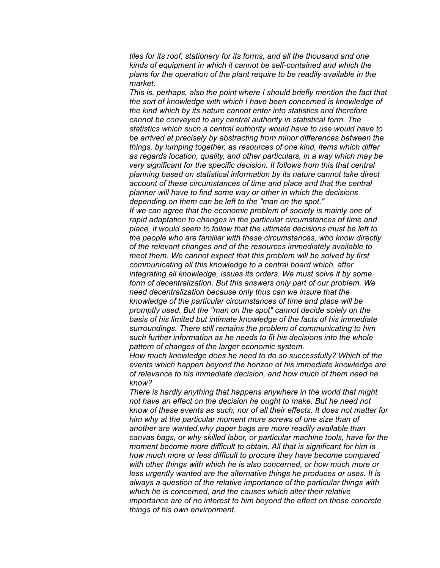*tiles for its roof, stationery for its forms, and all the thousand and one kinds of equipment in which it cannot be self-contained and which the plans for the operation of the plant require to be readily available in the market.*

*This is, perhaps, also the point where I should briefly mention the fact that the sort of knowledge with which I have been concerned is knowledge of the kind which by its nature cannot enter into statistics and therefore cannot be conveyed to any central authority in statistical form. The statistics which such a central authority would have to use would have to be arrived at precisely by abstracting from minor differences between the things, by lumping together, as resources of one kind, items which differ as regards location, quality, and other particulars, in a way which may be very significant for the specific decision. It follows from this that central planning based on statistical information by its nature cannot take direct account of these circumstances of time and place and that the central planner will have to find some way or other in which the decisions depending on them can be left to the "man on the spot." If we can agree that the economic problem of society is mainly one of rapid adaptation to changes in the particular circumstances of time and place, it would seem to follow that the ultimate decisions must be left to the people who are familiar with these circumstances, who know directly of the relevant changes and of the resources immediately available to meet them. We cannot expect that this problem will be solved by first communicating all this knowledge to a central board which, after integrating all knowledge, issues its orders. We must solve it by some form of decentralization. But this answers only part of our problem. We need decentralization because only thus can we insure that the knowledge of the particular circumstances of time and place will be promptly used. But the "man on the spot" cannot decide solely on the basis of his limited but intimate knowledge of the facts of his immediate surroundings. There still remains the problem of communicating to him*

*such further information as he needs to fit his decisions into the whole pattern of changes of the larger economic system. How much knowledge does he need to do so successfully? Which of the*

*events which happen beyond the horizon of his immediate knowledge are of relevance to his immediate decision, and how much of them need he know?*

*There is hardly anything that happens anywhere in the world that might not have an effect on the decision he ought to make. But he need not know of these events as such, nor of all their effects. It does not matter for him why at the particular moment more screws of one size than of another are wanted,why paper bags are more readily available than canvas bags, or why skilled labor, or particular machine tools, have for the moment become more difficult to obtain. All that is significant for him is how much more or less difficult to procure they have become compared with other things with which he is also concerned, or how much more or less urgently wanted are the alternative things he produces or uses. It is always a question of the relative importance of the particular things with which he is concerned, and the causes which alter their relative importance are of no interest to him beyond the effect on those concrete things of his own environment.*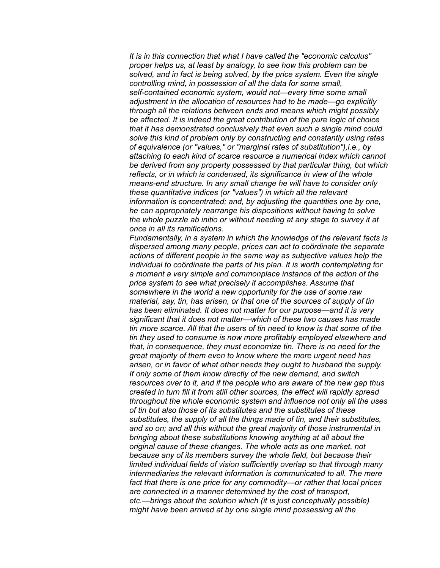*It is in this connection that what I have called the "economic calculus" proper helps us, at least by analogy, to see how this problem can be solved, and in fact is being solved, by the price system. Even the single controlling mind, in possession of all the data for some small, self-contained economic system, would not—every time some small adjustment in the allocation of resources had to be made—go explicitly through all the relations between ends and means which might possibly be affected. It is indeed the great contribution of the pure logic of choice that it has demonstrated conclusively that even such a single mind could solve this kind of problem only by constructing and constantly using rates of equivalence (or "values," or "marginal rates of substitution"),i.e., by attaching to each kind of scarce resource a numerical index which cannot be derived from any property possessed by that particular thing, but which reflects, or in which is condensed, its significance in view of the whole means-end structure. In any small change he will have to consider only these quantitative indices (or "values") in which all the relevant information is concentrated; and, by adjusting the quantities one by one, he can appropriately rearrange his dispositions without having to solve the whole puzzle ab initio or without needing at any stage to survey it at once in all its ramifications.*

*Fundamentally, in a system in which the knowledge of the relevant facts is dispersed among many people, prices can act to coördinate the separate actions of different people in the same way as subjective values help the individual to coördinate the parts of his plan. It is worth contemplating for a moment a very simple and commonplace instance of the action of the price system to see what precisely it accomplishes. Assume that somewhere in the world a new opportunity for the use of some raw material, say, tin, has arisen, or that one of the sources of supply of tin has been eliminated. It does not matter for our purpose—and it is very significant that it does not matter—which of these two causes has made tin more scarce. All that the users of tin need to know is that some of the tin they used to consume is now more profitably employed elsewhere and that, in consequence, they must economize tin. There is no need for the great majority of them even to know where the more urgent need has arisen, or in favor of what other needs they ought to husband the supply. If only some of them know directly of the new demand, and switch resources over to it, and if the people who are aware of the new gap thus created in turn fill it from still other sources, the effect will rapidly spread throughout the whole economic system and influence not only all the uses of tin but also those of its substitutes and the substitutes of these substitutes, the supply of all the things made of tin, and their substitutes, and so on; and all this without the great majority of those instrumental in bringing about these substitutions knowing anything at all about the original cause of these changes. The whole acts as one market, not because any of its members survey the whole field, but because their limited individual fields of vision sufficiently overlap so that through many intermediaries the relevant information is communicated to all. The mere fact that there is one price for any commodity—or rather that local prices are connected in a manner determined by the cost of transport, etc.—brings about the solution which (it is just conceptually possible) might have been arrived at by one single mind possessing all the*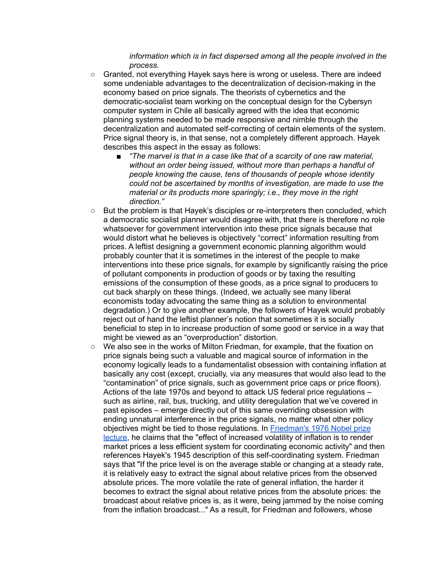## *information which is in fact dispersed among all the people involved in the process.*

- Granted, not everything Hayek says here is wrong or useless. There are indeed some undeniable advantages to the decentralization of decision-making in the economy based on price signals. The theorists of cybernetics and the democratic-socialist team working on the conceptual design for the Cybersyn computer system in Chile all basically agreed with the idea that economic planning systems needed to be made responsive and nimble through the decentralization and automated self-correcting of certain elements of the system. Price signal theory is, in that sense, not a completely different approach. Hayek describes this aspect in the essay as follows:
	- *"The marvel is that in a case like that of a scarcity of one raw material, without an order being issued, without more than perhaps a handful of people knowing the cause, tens of thousands of people whose identity could not be ascertained by months of investigation, are made to use the material or its products more sparingly; i.e., they move in the right direction."*
- $\circ$  But the problem is that Hayek's disciples or re-interpreters then concluded, which a democratic socialist planner would disagree with, that there is therefore no role whatsoever for government intervention into these price signals because that would distort what he believes is objectively "correct" information resulting from prices. A leftist designing a government economic planning algorithm would probably counter that it is sometimes in the interest of the people to make interventions into these price signals, for example by significantly raising the price of pollutant components in production of goods or by taxing the resulting emissions of the consumption of these goods, as a price signal to producers to cut back sharply on these things. (Indeed, we actually see many liberal economists today advocating the same thing as a solution to environmental degradation.) Or to give another example, the followers of Hayek would probably reject out of hand the leftist planner's notion that sometimes it is socially beneficial to step in to increase production of some good or service in a way that might be viewed as an "overproduction" distortion.
- We also see in the works of Milton Friedman, for example, that the fixation on price signals being such a valuable and magical source of information in the economy logically leads to a fundamentalist obsession with containing inflation at basically any cost (except, crucially, via any measures that would also lead to the "contamination" of price signals, such as government price caps or price floors). Actions of the late 1970s and beyond to attack US federal price regulations – such as airline, rail, bus, trucking, and utility deregulation that we've covered in past episodes – emerge directly out of this same overriding obsession with ending unnatural interference in the price signals, no matter what other policy objectives might be tied to those regulations. In [Friedman's](https://www.nobelprize.org/uploads/2018/06/friedman-lecture-1.pdf) 1976 Nobel prize [lecture,](https://www.nobelprize.org/uploads/2018/06/friedman-lecture-1.pdf) he claims that the "effect of increased volatility of inflation is to render market prices a less efficient system for coordinating economic activity" and then references Hayek's 1945 description of this self-coordinating system. Friedman says that "If the price level is on the average stable or changing at a steady rate, it is relatively easy to extract the signal about relative prices from the observed absolute prices. The more volatile the rate of general inflation, the harder it becomes to extract the signal about relative prices from the absolute prices: the broadcast about relative prices is, as it were, being jammed by the noise coming from the inflation broadcast..." As a result, for Friedman and followers, whose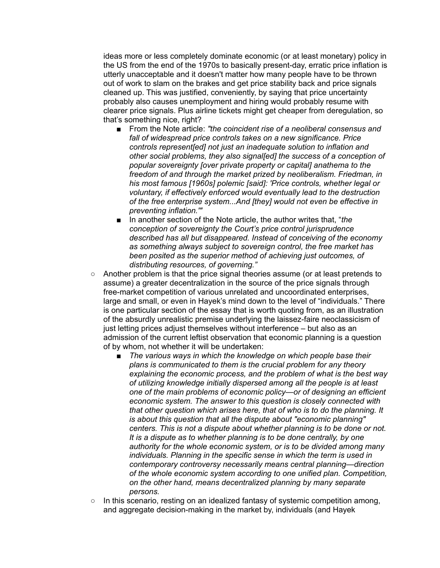ideas more or less completely dominate economic (or at least monetary) policy in the US from the end of the 1970s to basically present-day, erratic price inflation is utterly unacceptable and it doesn't matter how many people have to be thrown out of work to slam on the brakes and get price stability back and price signals cleaned up. This was justified, conveniently, by saying that price uncertainty probably also causes unemployment and hiring would probably resume with clearer price signals. Plus airline tickets might get cheaper from deregulation, so that's something nice, right?

- From the Note article: "the coincident rise of a neoliberal consensus and *fall of widespread price controls takes on a new significance. Price controls represent[ed] not just an inadequate solution to inflation and other social problems, they also signal[ed] the success of a conception of popular sovereignty [over private property or capital] anathema to the freedom of and through the market prized by neoliberalism. Friedman, in his most famous [1960s] polemic [said]: 'Price controls, whether legal or voluntary, if effectively enforced would eventually lead to the destruction of the free enterprise system...And [they] would not even be effective in preventing inflation.'"*
- *■* In another section of the Note article, the author writes that, "*the conception of sovereignty the Court's price control jurisprudence described has all but disappeared. Instead of conceiving of the economy as something always subject to sovereign control, the free market has been posited as the superior method of achieving just outcomes, of distributing resources, of governing."*
- $\circ$  Another problem is that the price signal theories assume (or at least pretends to assume) a greater decentralization in the source of the price signals through free-market competition of various unrelated and uncoordinated enterprises, large and small, or even in Hayek's mind down to the level of "individuals." There is one particular section of the essay that is worth quoting from, as an illustration of the absurdly unrealistic premise underlying the laissez-faire neoclassicism of just letting prices adjust themselves without interference - but also as an admission of the current leftist observation that economic planning is a question of by whom, not whether it will be undertaken:
	- *■ The various ways in which the knowledge on which people base their plans is communicated to them is the crucial problem for any theory explaining the economic process, and the problem of what is the best way of utilizing knowledge initially dispersed among all the people is at least one of the main problems of economic policy—or of designing an efficient economic system. The answer to this question is closely connected with that other question which arises here, that of who is to do the planning. It is about this question that all the dispute about "economic planning" centers. This is not a dispute about whether planning is to be done or not. It is a dispute as to whether planning is to be done centrally, by one authority for the whole economic system, or is to be divided among many individuals. Planning in the specific sense in which the term is used in contemporary controversy necessarily means central planning—direction of the whole economic system according to one unified plan. Competition, on the other hand, means decentralized planning by many separate persons.*
- In this scenario, resting on an idealized fantasy of systemic competition among, and aggregate decision-making in the market by, individuals (and Hayek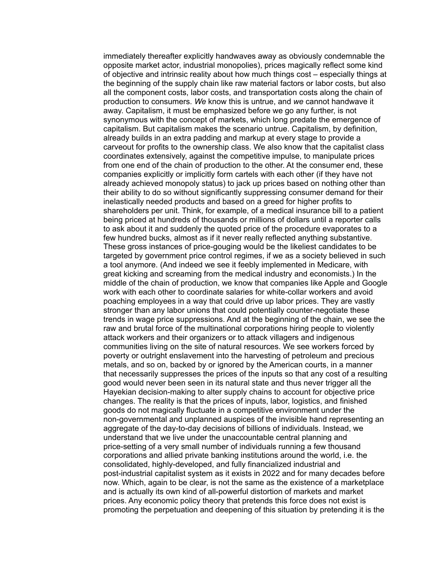immediately thereafter explicitly handwaves away as obviously condemnable the opposite market actor, industrial monopolies), prices magically reflect some kind of objective and intrinsic reality about how much things cost – especially things at the beginning of the supply chain like raw material factors or labor costs, but also all the component costs, labor costs, and transportation costs along the chain of production to consumers. *We* know this is untrue, and *we* cannot handwave it away. Capitalism, it must be emphasized before we go any further, is not synonymous with the concept of markets, which long predate the emergence of capitalism. But capitalism makes the scenario untrue. Capitalism, by definition, already builds in an extra padding and markup at every stage to provide a carveout for profits to the ownership class. We also know that the capitalist class coordinates extensively, against the competitive impulse, to manipulate prices from one end of the chain of production to the other. At the consumer end, these companies explicitly or implicitly form cartels with each other (if they have not already achieved monopoly status) to jack up prices based on nothing other than their ability to do so without significantly suppressing consumer demand for their inelastically needed products and based on a greed for higher profits to shareholders per unit. Think, for example, of a medical insurance bill to a patient being priced at hundreds of thousands or millions of dollars until a reporter calls to ask about it and suddenly the quoted price of the procedure evaporates to a few hundred bucks, almost as if it never really reflected anything substantive. These gross instances of price-gouging would be the likeliest candidates to be targeted by government price control regimes, if we as a society believed in such a tool anymore. (And indeed we see it feebly implemented in Medicare, with great kicking and screaming from the medical industry and economists.) In the middle of the chain of production, we know that companies like Apple and Google work with each other to coordinate salaries for white-collar workers and avoid poaching employees in a way that could drive up labor prices. They are vastly stronger than any labor unions that could potentially counter-negotiate these trends in wage price suppressions. And at the beginning of the chain, we see the raw and brutal force of the multinational corporations hiring people to violently attack workers and their organizers or to attack villagers and indigenous communities living on the site of natural resources. We see workers forced by poverty or outright enslavement into the harvesting of petroleum and precious metals, and so on, backed by or ignored by the American courts, in a manner that necessarily suppresses the prices of the inputs so that any cost of a resulting good would never been seen in its natural state and thus never trigger all the Hayekian decision-making to alter supply chains to account for objective price changes. The reality is that the prices of inputs, labor, logistics, and finished goods do not magically fluctuate in a competitive environment under the non-governmental and unplanned auspices of the invisible hand representing an aggregate of the day-to-day decisions of billions of individuals. Instead, we understand that we live under the unaccountable central planning and price-setting of a very small number of individuals running a few thousand corporations and allied private banking institutions around the world, i.e. the consolidated, highly-developed, and fully financialized industrial and post-industrial capitalist system as it exists in 2022 and for many decades before now. Which, again to be clear, is not the same as the existence of a marketplace and is actually its own kind of all-powerful distortion of markets and market prices. Any economic policy theory that pretends this force does not exist is promoting the perpetuation and deepening of this situation by pretending it is the